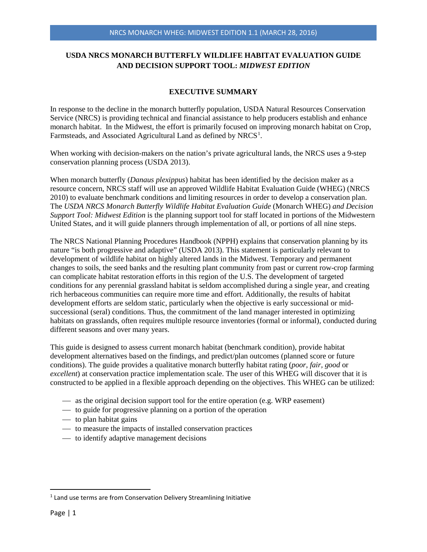# **USDA NRCS MONARCH BUTTERFLY WILDLIFE HABITAT EVALUATION GUIDE AND DECISION SUPPORT TOOL:** *MIDWEST EDITION*

## **EXECUTIVE SUMMARY**

In response to the decline in the monarch butterfly population, USDA Natural Resources Conservation Service (NRCS) is providing technical and financial assistance to help producers establish and enhance monarch habitat. In the Midwest, the effort is primarily focused on improving monarch habitat on Crop, Farmsteads, and Associated Agricultural Land as defined by  $NRCS<sup>1</sup>$  $NRCS<sup>1</sup>$  $NRCS<sup>1</sup>$ .

When working with decision-makers on the nation's private agricultural lands, the NRCS uses a 9-step conservation planning process (USDA 2013).

When monarch butterfly (*Danaus plexippus*) habitat has been identified by the decision maker as a resource concern, NRCS staff will use an approved Wildlife Habitat Evaluation Guide (WHEG) (NRCS 2010) to evaluate benchmark conditions and limiting resources in order to develop a conservation plan. The *USDA NRCS Monarch Butterfly Wildlife Habitat Evaluation Guide* (Monarch WHEG) *and Decision Support Tool: Midwest Edition* is the planning support tool for staff located in portions of the Midwestern United States, and it will guide planners through implementation of all, or portions of all nine steps.

The NRCS National Planning Procedures Handbook (NPPH) explains that conservation planning by its nature "is both progressive and adaptive" (USDA 2013). This statement is particularly relevant to development of wildlife habitat on highly altered lands in the Midwest. Temporary and permanent changes to soils, the seed banks and the resulting plant community from past or current row-crop farming can complicate habitat restoration efforts in this region of the U.S. The development of targeted conditions for any perennial grassland habitat is seldom accomplished during a single year, and creating rich herbaceous communities can require more time and effort. Additionally, the results of habitat development efforts are seldom static, particularly when the objective is early successional or midsuccessional (seral) conditions. Thus, the commitment of the land manager interested in optimizing habitats on grasslands, often requires multiple resource inventories (formal or informal), conducted during different seasons and over many years.

This guide is designed to assess current monarch habitat (benchmark condition), provide habitat development alternatives based on the findings, and predict/plan outcomes (planned score or future conditions). The guide provides a qualitative monarch butterfly habitat rating (*poor, fair, good* or *excellent*) at conservation practice implementation scale. The user of this WHEG will discover that it is constructed to be applied in a flexible approach depending on the objectives. This WHEG can be utilized:

- $\overline{\phantom{a}}$  as the original decision support tool for the entire operation (e.g. WRP easement)
- to guide for progressive planning on a portion of the operation
- $\frac{1}{\sqrt{1 x^2}}$  to plan habitat gains
- to measure the impacts of installed conservation practices
- $\overline{\phantom{a}}$  to identify adaptive management decisions

<span id="page-0-0"></span><sup>&</sup>lt;sup>1</sup> Land use terms are from Conservation Delivery Streamlining Initiative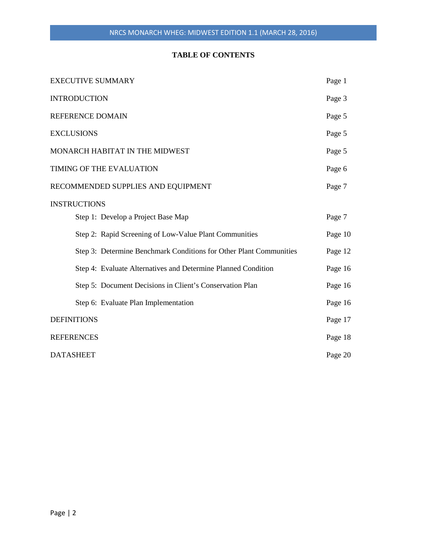# **TABLE OF CONTENTS**

| <b>EXECUTIVE SUMMARY</b>                                           | Page 1  |
|--------------------------------------------------------------------|---------|
| <b>INTRODUCTION</b>                                                | Page 3  |
| REFERENCE DOMAIN                                                   | Page 5  |
| <b>EXCLUSIONS</b>                                                  | Page 5  |
| MONARCH HABITAT IN THE MIDWEST                                     | Page 5  |
| TIMING OF THE EVALUATION                                           | Page 6  |
| RECOMMENDED SUPPLIES AND EQUIPMENT                                 | Page 7  |
| <b>INSTRUCTIONS</b>                                                |         |
| Step 1: Develop a Project Base Map                                 | Page 7  |
| Step 2: Rapid Screening of Low-Value Plant Communities             | Page 10 |
| Step 3: Determine Benchmark Conditions for Other Plant Communities | Page 12 |
| Step 4: Evaluate Alternatives and Determine Planned Condition      | Page 16 |
| Step 5: Document Decisions in Client's Conservation Plan           | Page 16 |
| Step 6: Evaluate Plan Implementation                               | Page 16 |
| <b>DEFINITIONS</b>                                                 | Page 17 |
| <b>REFERENCES</b>                                                  | Page 18 |
| <b>DATASHEET</b>                                                   | Page 20 |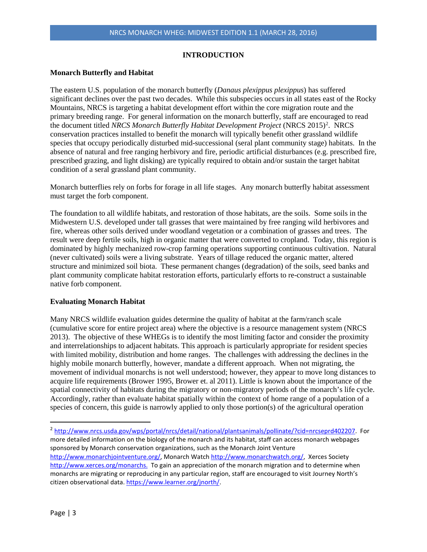### **INTRODUCTION**

#### **Monarch Butterfly and Habitat**

The eastern U.S. population of the monarch butterfly (*Danaus plexippus plexippus*) has suffered significant declines over the past two decades. While this subspecies occurs in all states east of the Rocky Mountains, NRCS is targeting a habitat development effort within the core migration route and the primary breeding range. For general information on the monarch butterfly, staff are encouraged to read the document titled *NRCS Monarch Butterfly Habitat Development Project* (NRCS [2](#page-2-0)015)<sup>2</sup>. NRCS conservation practices installed to benefit the monarch will typically benefit other grassland wildlife species that occupy periodically disturbed mid-successional (seral plant community stage) habitats. In the absence of natural and free ranging herbivory and fire, periodic artificial disturbances (e.g. prescribed fire, prescribed grazing, and light disking) are typically required to obtain and/or sustain the target habitat condition of a seral grassland plant community.

Monarch butterflies rely on forbs for forage in all life stages. Any monarch butterfly habitat assessment must target the forb component.

The foundation to all wildlife habitats, and restoration of those habitats, are the soils. Some soils in the Midwestern U.S. developed under tall grasses that were maintained by free ranging wild herbivores and fire, whereas other soils derived under woodland vegetation or a combination of grasses and trees. The result were deep fertile soils, high in organic matter that were converted to cropland. Today, this region is dominated by highly mechanized row-crop farming operations supporting continuous cultivation. Natural (never cultivated) soils were a living substrate. Years of tillage reduced the organic matter, altered structure and minimized soil biota. These permanent changes (degradation) of the soils, seed banks and plant community complicate habitat restoration efforts, particularly efforts to re-construct a sustainable native forb component.

#### **Evaluating Monarch Habitat**

Many NRCS wildlife evaluation guides determine the quality of habitat at the farm/ranch scale (cumulative score for entire project area) where the objective is a resource management system (NRCS 2013). The objective of these WHEGs is to identify the most limiting factor and consider the proximity and interrelationships to adjacent habitats. This approach is particularly appropriate for resident species with limited mobility, distribution and home ranges. The challenges with addressing the declines in the highly mobile monarch butterfly, however, mandate a different approach. When not migrating, the movement of individual monarchs is not well understood; however, they appear to move long distances to acquire life requirements (Brower 1995, Brower et. al 2011). Little is known about the importance of the spatial connectivity of habitats during the migratory or non-migratory periods of the monarch's life cycle. Accordingly, rather than evaluate habitat spatially within the context of home range of a population of a species of concern, this guide is narrowly applied to only those portion(s) of the agricultural operation

<span id="page-2-0"></span> <sup>2</sup> [http://www.nrcs.usda.gov/wps/portal/nrcs/detail/national/plantsanimals/pollinate/?cid=nrcseprd402207.](http://www.nrcs.usda.gov/wps/portal/nrcs/detail/national/plantsanimals/pollinate/?cid=nrcseprd402207) For more detailed information on the biology of the monarch and its habitat, staff can access monarch webpages sponsored by Monarch conservation organizations, such as the Monarch Joint Venture [http://www.monarchjointventure.org/,](http://www.monarchjointventure.org/) Monarch Watc[h http://www.monarchwatch.org/,](http://www.monarchwatch.org/) Xerces Society [http://www.xerces.org/monarchs.](http://www.xerces.org/monarchs) To gain an appreciation of the monarch migration and to determine when monarchs are migrating or reproducing in any particular region, staff are encouraged to visit Journey North's citizen observational data[. https://www.learner.org/jnorth/.](https://www.learner.org/jnorth/)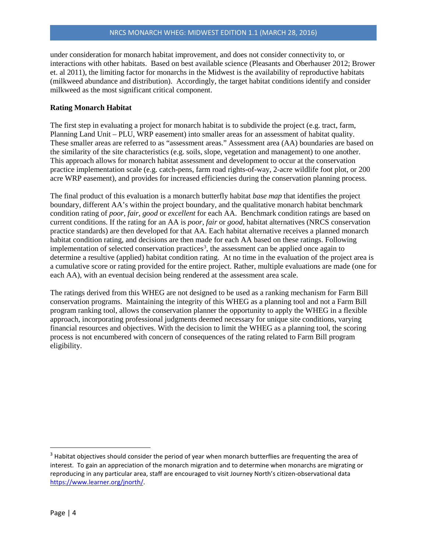under consideration for monarch habitat improvement, and does not consider connectivity to, or interactions with other habitats. Based on best available science (Pleasants and Oberhauser 2012; Brower et. al 2011), the limiting factor for monarchs in the Midwest is the availability of reproductive habitats (milkweed abundance and distribution). Accordingly, the target habitat conditions identify and consider milkweed as the most significant critical component.

### **Rating Monarch Habitat**

The first step in evaluating a project for monarch habitat is to subdivide the project (e.g. tract, farm, Planning Land Unit – PLU, WRP easement) into smaller areas for an assessment of habitat quality. These smaller areas are referred to as "assessment areas." Assessment area (AA) boundaries are based on the similarity of the site characteristics (e.g. soils, slope, vegetation and management) to one another. This approach allows for monarch habitat assessment and development to occur at the conservation practice implementation scale (e.g. catch-pens, farm road rights-of-way, 2-acre wildlife foot plot, or 200 acre WRP easement), and provides for increased efficiencies during the conservation planning process.

The final product of this evaluation is a monarch butterfly habitat *base map* that identifies the project boundary, different AA's within the project boundary, and the qualitative monarch habitat benchmark condition rating of *poor, fair, good* or *excellent* for each AA. Benchmark condition ratings are based on current conditions. If the rating for an AA is *poor, fair* or *good*, habitat alternatives (NRCS conservation practice standards) are then developed for that AA. Each habitat alternative receives a planned monarch habitat condition rating, and decisions are then made for each AA based on these ratings. Following implementation of selected conservation practices<sup>3</sup>, the assessment can be applied once again to determine a resultive (applied) habitat condition rating. At no time in the evaluation of the project area is a cumulative score or rating provided for the entire project. Rather, multiple evaluations are made (one for each AA), with an eventual decision being rendered at the assessment area scale.

The ratings derived from this WHEG are not designed to be used as a ranking mechanism for Farm Bill conservation programs. Maintaining the integrity of this WHEG as a planning tool and not a Farm Bill program ranking tool, allows the conservation planner the opportunity to apply the WHEG in a flexible approach, incorporating professional judgments deemed necessary for unique site conditions, varying financial resources and objectives. With the decision to limit the WHEG as a planning tool, the scoring process is not encumbered with concern of consequences of the rating related to Farm Bill program eligibility.

<span id="page-3-0"></span> $3$  Habitat objectives should consider the period of year when monarch butterflies are frequenting the area of interest. To gain an appreciation of the monarch migration and to determine when monarchs are migrating or reproducing in any particular area, staff are encouraged to visit Journey North's citizen-observational data [https://www.learner.org/jnorth/.](https://www.learner.org/jnorth/)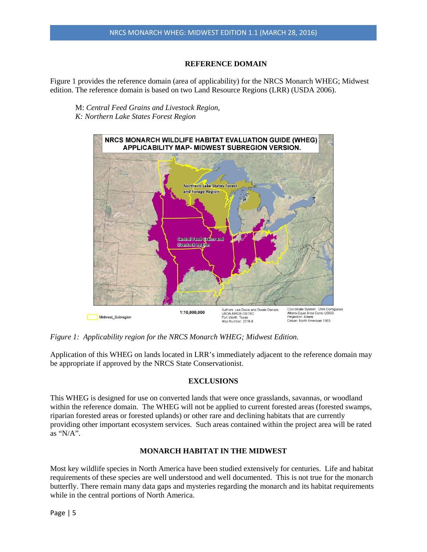## **REFERENCE DOMAIN**

Figure 1 provides the reference domain (area of applicability) for the NRCS Monarch WHEG; Midwest edition. The reference domain is based on two Land Resource Regions (LRR) (USDA 2006).

M: *Central Feed Grains and Livestock Region, K: Northern Lake States Forest Region*



*Figure 1: Applicability region for the NRCS Monarch WHEG; Midwest Edition.* 

Application of this WHEG on lands located in LRR's immediately adjacent to the reference domain may be appropriate if approved by the NRCS State Conservationist.

## **EXCLUSIONS**

This WHEG is designed for use on converted lands that were once grasslands, savannas, or woodland within the reference domain. The WHEG will not be applied to current forested areas (forested swamps, riparian forested areas or forested uplands) or other rare and declining habitats that are currently providing other important ecosystem services. Such areas contained within the project area will be rated as "N/A".

## **MONARCH HABITAT IN THE MIDWEST**

Most key wildlife species in North America have been studied extensively for centuries. Life and habitat requirements of these species are well understood and well documented. This is not true for the monarch butterfly. There remain many data gaps and mysteries regarding the monarch and its habitat requirements while in the central portions of North America.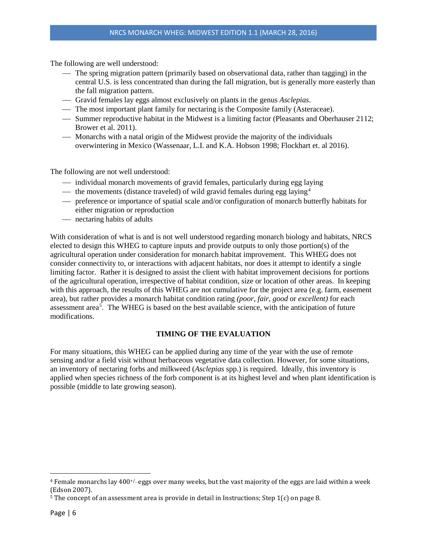The following are well understood:

- The spring migration pattern (primarily based on observational data, rather than tagging) in the central U.S. is less concentrated than during the fall migration, but is generally more easterly than the fall migration pattern.
- Gravid females lay eggs almost exclusively on plants in the genus *Asclepias*.
- The most important plant family for nectaring is the Composite family (Asteraceae).
- Summer reproductive habitat in the Midwest is a limiting factor (Pleasants and Oberhauser 2112; Brower et al. 2011).
- Monarchs with a natal origin of the Midwest provide the majority of the individuals overwintering in Mexico (Wassenaar, L.I. and K.A. Hobson 1998; Flockhart et. al 2016).

The following are not well understood:

- individual monarch movements of gravid females, particularly during egg laying
- $\sim$  the movements (distance traveled) of wild gravid females during egg laying<sup>[4](#page-5-0)</sup>
- preference or importance of spatial scale and/or configuration of monarch butterfly habitats for either migration or reproduction
- nectaring habits of adults

With consideration of what is and is not well understood regarding monarch biology and habitats, NRCS elected to design this WHEG to capture inputs and provide outputs to only those portion(s) of the agricultural operation under consideration for monarch habitat improvement. This WHEG does not consider connectivity to, or interactions with adjacent habitats, nor does it attempt to identify a single limiting factor. Rather it is designed to assist the client with habitat improvement decisions for portions of the agricultural operation, irrespective of habitat condition, size or location of other areas. In keeping with this approach, the results of this WHEG are not cumulative for the project area (e.g. farm, easement area), but rather provides a monarch habitat condition rating *(poor*, *fair*, *good* or *excellent)* for each assessment area<sup>5</sup>. The WHEG is based on the best available science, with the anticipation of future modifications.

## **TIMING OF THE EVALUATION**

For many situations, this WHEG can be applied during any time of the year with the use of remote sensing and/or a field visit without herbaceous vegetative data collection. However, for some situations, an inventory of nectaring forbs and milkweed (*Asclepias* spp.) is required. Ideally, this inventory is applied when species richness of the forb component is at its highest level and when plant identification is possible (middle to late growing season).

l

<span id="page-5-0"></span><sup>&</sup>lt;sup>4</sup> Female monarchs lay  $400^{+/}$  eggs over many weeks, but the vast majority of the eggs are laid within a week (Edson 2007).

<span id="page-5-1"></span><sup>&</sup>lt;sup>5</sup> The concept of an assessment area is provide in detail in Instructions; Step 1(c) on page 8.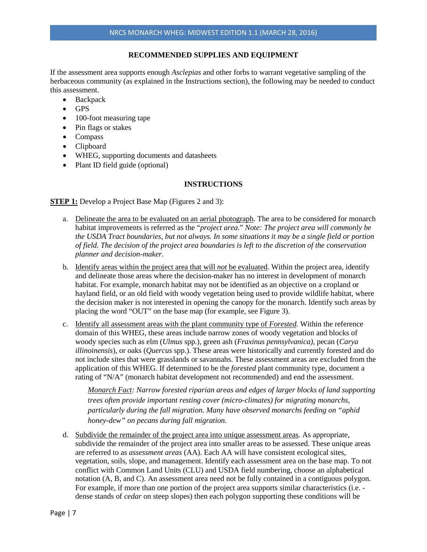### **RECOMMENDED SUPPLIES AND EQUIPMENT**

If the assessment area supports enough *Asclepias* and other forbs to warrant vegetative sampling of the herbaceous community (as explained in the Instructions section), the following may be needed to conduct this assessment.

- **Backpack**
- GPS
- 100-foot measuring tape
- Pin flags or stakes
- Compass
- Clipboard
- WHEG, supporting documents and datasheets
- Plant ID field guide (optional)

#### **INSTRUCTIONS**

**STEP 1:** Develop a Project Base Map (Figures 2 and 3):

- a. Delineate the area to be evaluated on an aerial photograph. The area to be considered for monarch habitat improvements is referred as the "*project area.*" *Note: The project area will commonly be the USDA Tract boundaries, but not always. In some situations it may be a single field or portion of field. The decision of the project area boundaries is left to the discretion of the conservation planner and decision-maker.*
- b. Identify areas within the project area that will *not* be evaluated. Within the project area, identify and delineate those areas where the decision-maker has no interest in development of monarch habitat. For example, monarch habitat may not be identified as an objective on a cropland or hayland field, or an old field with woody vegetation being used to provide wildlife habitat, where the decision maker is not interested in opening the canopy for the monarch. Identify such areas by placing the word "OUT" on the base map (for example, see Figure 3).
- c. Identify all assessment areas with the plant community type of *Forested.* Within the reference domain of this WHEG, these areas include narrow zones of woody vegetation and blocks of woody species such as elm (*Ulmus* spp.), green ash (*Fraxinus pennsylvanica),* pecan (*Carya illinoinensis*), or oaks (*Quercus* spp.). These areas were historically and currently forested and do not include sites that were grasslands or savannahs. These assessment areas are excluded from the application of this WHEG. If determined to be the *forested* plant community type, document a rating of "N/A" (monarch habitat development not recommended) and end the assessment.

*Monarch Fact: Narrow forested riparian areas and edges of larger blocks of land supporting trees often provide important resting cover (micro-climates) for migrating monarchs, particularly during the fall migration. Many have observed monarchs feeding on "aphid honey-dew" on pecans during fall migration.*

d. Subdivide the remainder of the project area into unique assessment areas. As appropriate, subdivide the remainder of the project area into smaller areas to be assessed. These unique areas are referred to as *assessment areas* (AA). Each AA will have consistent ecological sites, vegetation, soils, slope, and management. Identify each assessment area on the base map. To not conflict with Common Land Units (CLU) and USDA field numbering, choose an alphabetical notation (A, B, and C). An assessment area need not be fully contained in a contiguous polygon. For example, if more than one portion of the project area supports similar characteristics (i.e. dense stands of *cedar* on steep slopes) then each polygon supporting these conditions will be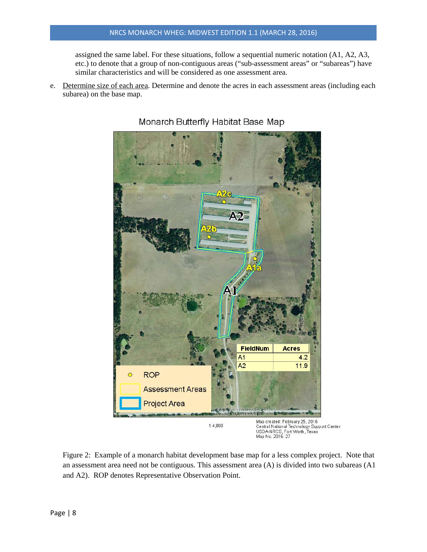assigned the same label. For these situations, follow a sequential numeric notation (A1, A2, A3, etc.) to denote that a group of non-contiguous areas ("sub-assessment areas" or "subareas") have similar characteristics and will be considered as one assessment area.

e. Determine size of each area. Determine and denote the acres in each assessment areas (including each subarea) on the base map.



Monarch Butterfly Habitat Base Map

Figure 2: Example of a monarch habitat development base map for a less complex project. Note that an assessment area need not be contiguous. This assessment area (A) is divided into two subareas (A1 and A2). ROP denotes Representative Observation Point.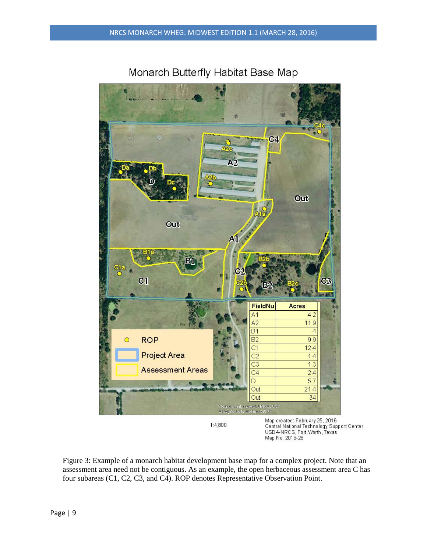

Monarch Butterfly Habitat Base Map

Figure 3: Example of a monarch habitat development base map for a complex project. Note that an assessment area need not be contiguous. As an example, the open herbaceous assessment area C has four subareas (C1, C2, C3, and C4). ROP denotes Representative Observation Point.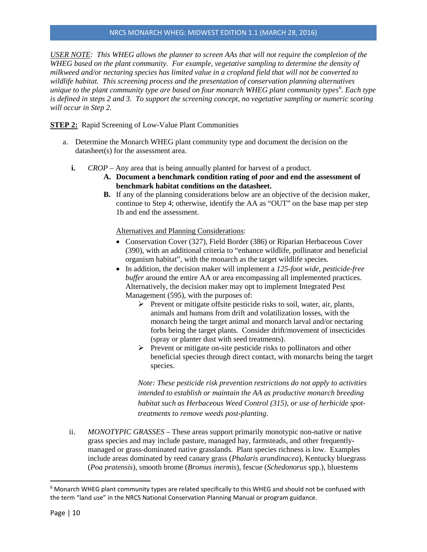### NRCS MONARCH WHEG: MIDWEST EDITION 1.1 (MARCH 28, 2016)

*USER NOTE: This WHEG allows the planner to screen AAs that will not require the completion of the WHEG based on the plant community. For example, vegetative sampling to determine the density of milkweed and/or nectaring species has limited value in a cropland field that will not be converted to wildlife habitat. This screening process and the presentation of conservation planning alternatives unique to the plant community type are based on four monarch WHEG plant community types[6](#page-9-0) . Each type is defined in steps 2 and 3. To support the screening concept, no vegetative sampling or numeric scoring will occur in Step 2.* 

**STEP 2:** Rapid Screening of Low-Value Plant Communities

- a. Determine the Monarch WHEG plant community type and document the decision on the datasheet(s) for the assessment area.
	- **i.** *CROP* Any area that is being annually planted for harvest of a product.
		- **A. Document a benchmark condition rating of** *poor* **and end the assessment of benchmark habitat conditions on the datasheet.**
		- **B.** If any of the planning considerations below are an objective of the decision maker, continue to Step 4; otherwise, identify the AA as "OUT" on the base map per step 1b and end the assessment.

Alternatives and Planning Considerations:

- Conservation Cover (327), Field Border (386) or Riparian Herbaceous Cover (390), with an additional criteria to "enhance wildlife, pollinator and beneficial organism habitat", with the monarch as the target wildlife species.
- In addition, the decision maker will implement a *125-foot wide, pesticide-free buffer* around the entire AA or area encompassing all implemented practices. Alternatively, the decision maker may opt to implement Integrated Pest Management (595), with the purposes of:
	- $\triangleright$  Prevent or mitigate offsite pesticide risks to soil, water, air, plants, animals and humans from drift and volatilization losses, with the monarch being the target animal and monarch larval and/or nectaring forbs being the target plants. Consider drift/movement of insecticides (spray or planter dust with seed treatments).
	- $\triangleright$  Prevent or mitigate on-site pesticide risks to pollinators and other beneficial species through direct contact, with monarchs being the target species.

*Note: These pesticide risk prevention restrictions do not apply to activities intended to establish or maintain the AA as productive monarch breeding habitat such as Herbaceous Weed Control (315), or use of herbicide spottreatments to remove weeds post-planting*.

ii. *MONOTYPIC GRASSES* – These areas support primarily monotypic non-native or native grass species and may include pasture, managed hay, farmsteads, and other frequentlymanaged or grass-dominated native grasslands. Plant species richness is low. Examples include areas dominated by reed canary grass (*Phalaris arundinacea*), Kentucky bluegrass (*Poa pratensis*), smooth brome (*Bromus inermis*), fescue (*Schedonorus* spp.), bluestems

<span id="page-9-0"></span> $6$  Monarch WHEG plant community types are related specifically to this WHEG and should not be confused with the term "land use" in the NRCS National Conservation Planning Manual or program guidance.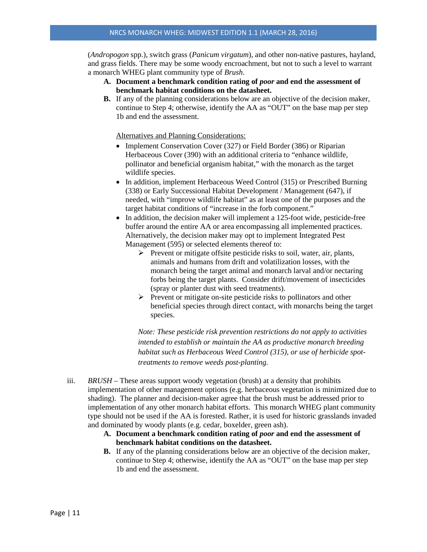(*Andropogon* spp.), switch grass (*Panicum virgatum*), and other non-native pastures, hayland, and grass fields. There may be some woody encroachment, but not to such a level to warrant a monarch WHEG plant community type of *Brush*.

- **A. Document a benchmark condition rating of** *poor* **and end the assessment of benchmark habitat conditions on the datasheet.**
- **B.** If any of the planning considerations below are an objective of the decision maker, continue to Step 4; otherwise, identify the AA as "OUT" on the base map per step 1b and end the assessment.

Alternatives and Planning Considerations:

- Implement Conservation Cover (327) or Field Border (386) or Riparian Herbaceous Cover (390) with an additional criteria to "enhance wildlife, pollinator and beneficial organism habitat," with the monarch as the target wildlife species.
- In addition, implement Herbaceous Weed Control (315) or Prescribed Burning (338) or Early Successional Habitat Development / Management (647), if needed, with "improve wildlife habitat" as at least one of the purposes and the target habitat conditions of "increase in the forb component."
- In addition, the decision maker will implement a 125-foot wide, pesticide-free buffer around the entire AA or area encompassing all implemented practices. Alternatively, the decision maker may opt to implement Integrated Pest Management (595) or selected elements thereof to:
	- $\triangleright$  Prevent or mitigate offsite pesticide risks to soil, water, air, plants, animals and humans from drift and volatilization losses, with the monarch being the target animal and monarch larval and/or nectaring forbs being the target plants. Consider drift/movement of insecticides (spray or planter dust with seed treatments).
	- $\triangleright$  Prevent or mitigate on-site pesticide risks to pollinators and other beneficial species through direct contact, with monarchs being the target species.

*Note: These pesticide risk prevention restrictions do not apply to activities intended to establish or maintain the AA as productive monarch breeding habitat such as Herbaceous Weed Control (315), or use of herbicide spottreatments to remove weeds post-planting.* 

- iii. *BRUSH* These areas support woody vegetation (brush) at a density that prohibits implementation of other management options (e.g. herbaceous vegetation is minimized due to shading). The planner and decision-maker agree that the brush must be addressed prior to implementation of any other monarch habitat efforts. This monarch WHEG plant community type should not be used if the AA is forested. Rather, it is used for historic grasslands invaded and dominated by woody plants (e.g. cedar, boxelder, green ash).
	- **A. Document a benchmark condition rating of** *poor* **and end the assessment of benchmark habitat conditions on the datasheet.**
	- **B.** If any of the planning considerations below are an objective of the decision maker, continue to Step 4; otherwise, identify the AA as "OUT" on the base map per step 1b and end the assessment.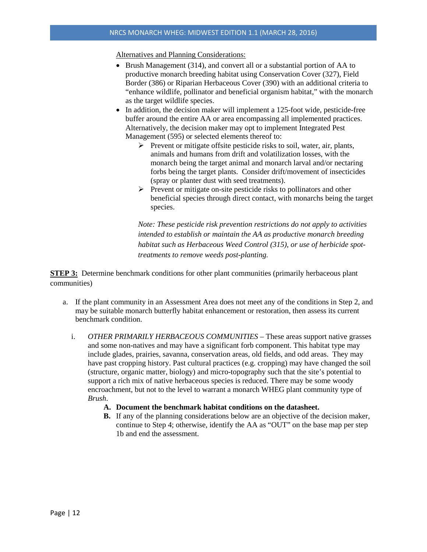Alternatives and Planning Considerations:

- Brush Management (314), and convert all or a substantial portion of AA to productive monarch breeding habitat using Conservation Cover (327), Field Border (386) or Riparian Herbaceous Cover (390) with an additional criteria to "enhance wildlife, pollinator and beneficial organism habitat," with the monarch as the target wildlife species.
- In addition, the decision maker will implement a 125-foot wide, pesticide-free buffer around the entire AA or area encompassing all implemented practices. Alternatively, the decision maker may opt to implement Integrated Pest Management (595) or selected elements thereof to:
	- $\triangleright$  Prevent or mitigate offsite pesticide risks to soil, water, air, plants, animals and humans from drift and volatilization losses, with the monarch being the target animal and monarch larval and/or nectaring forbs being the target plants. Consider drift/movement of insecticides (spray or planter dust with seed treatments).
	- $\triangleright$  Prevent or mitigate on-site pesticide risks to pollinators and other beneficial species through direct contact, with monarchs being the target species.

*Note: These pesticide risk prevention restrictions do not apply to activities intended to establish or maintain the AA as productive monarch breeding habitat such as Herbaceous Weed Control (315), or use of herbicide spottreatments to remove weeds post-planting.* 

**STEP 3:** Determine benchmark conditions for other plant communities (primarily herbaceous plant communities)

- a. If the plant community in an Assessment Area does not meet any of the conditions in Step 2, and may be suitable monarch butterfly habitat enhancement or restoration, then assess its current benchmark condition.
	- i. *OTHER PRIMARILY HERBACEOUS COMMUNITIES –* These areas support native grasses and some non-natives and may have a significant forb component. This habitat type may include glades, prairies, savanna, conservation areas, old fields, and odd areas. They may have past cropping history. Past cultural practices (e.g. cropping) may have changed the soil (structure, organic matter, biology) and micro-topography such that the site's potential to support a rich mix of native herbaceous species is reduced. There may be some woody encroachment, but not to the level to warrant a monarch WHEG plant community type of *Brush*.
		- **A. Document the benchmark habitat conditions on the datasheet.**
		- **B.** If any of the planning considerations below are an objective of the decision maker, continue to Step 4; otherwise, identify the AA as "OUT" on the base map per step 1b and end the assessment.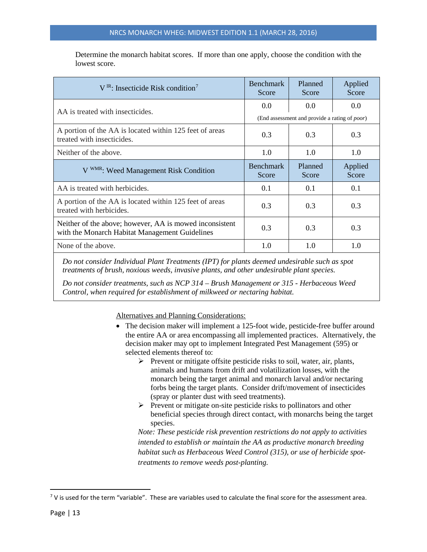Determine the monarch habitat scores. If more than one apply, choose the condition with the lowest score.

| $V^{IR}$ : Insecticide Risk condition <sup>7</sup>                                                        | <b>Benchmark</b><br>Score | Planned<br>Score                                                          | Applied<br>Score |
|-----------------------------------------------------------------------------------------------------------|---------------------------|---------------------------------------------------------------------------|------------------|
| AA is treated with insecticides.                                                                          | 0.0                       | 0.0 <sub>1</sub><br>(End assessment and provide a rating of <i>poor</i> ) | 0.0              |
| A portion of the AA is located within 125 feet of areas<br>treated with insecticides.                     | 0.3                       | 0.3                                                                       | 0.3              |
| Neither of the above.                                                                                     | 1.0                       | 1.0                                                                       | 1.0              |
| V WMR: Weed Management Risk Condition                                                                     | <b>Benchmark</b><br>Score | Planned<br>Score                                                          | Applied<br>Score |
| AA is treated with herbicides.                                                                            | 0.1                       | 0.1                                                                       | 0.1              |
| A portion of the AA is located within 125 feet of areas<br>treated with herbicides.                       | 0.3                       | 0.3                                                                       | 0.3              |
| Neither of the above; however, AA is mowed inconsistent<br>with the Monarch Habitat Management Guidelines | 0.3                       | 0.3                                                                       | 0.3              |
| None of the above.                                                                                        | 1.0                       | 1.0                                                                       | 1.0              |

*Do not consider Individual Plant Treatments (IPT) for plants deemed undesirable such as spot treatments of brush, noxious weeds, invasive plants, and other undesirable plant species.*

*Do not consider treatments, such as NCP 314 – Brush Management or 315 - Herbaceous Weed Control, when required for establishment of milkweed or nectaring habitat.*

Alternatives and Planning Considerations:

- The decision maker will implement a 125-foot wide, pesticide-free buffer around the entire AA or area encompassing all implemented practices. Alternatively, the decision maker may opt to implement Integrated Pest Management (595) or selected elements thereof to:
	- $\triangleright$  Prevent or mitigate offsite pesticide risks to soil, water, air, plants, animals and humans from drift and volatilization losses, with the monarch being the target animal and monarch larval and/or nectaring forbs being the target plants. Consider drift/movement of insecticides (spray or planter dust with seed treatments).
	- $\triangleright$  Prevent or mitigate on-site pesticide risks to pollinators and other beneficial species through direct contact, with monarchs being the target species.

*Note: These pesticide risk prevention restrictions do not apply to activities intended to establish or maintain the AA as productive monarch breeding habitat such as Herbaceous Weed Control (315), or use of herbicide spottreatments to remove weeds post-planting.* 

<span id="page-12-0"></span> $7$  V is used for the term "variable". These are variables used to calculate the final score for the assessment area.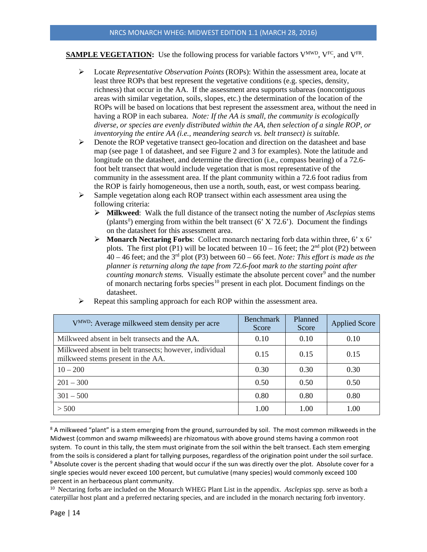# **SAMPLE VEGETATION:** Use the following process for variable factors  $V^{MWD}$ ,  $V^{FC}$ , and  $V^{FR}$ .

- Locate *Representative Observation Points* (ROPs): Within the assessment area, locate at least three ROPs that best represent the vegetative conditions (e.g. species, density, richness) that occur in the AA. If the assessment area supports subareas (noncontiguous areas with similar vegetation, soils, slopes, etc.) the determination of the location of the ROPs will be based on locations that best represent the assessment area, without the need in having a ROP in each subarea. *Note: If the AA is small, the community is ecologically diverse, or species are evenly distributed within the AA, then selection of a single ROP, or inventorying the entire AA (i.e., meandering search vs. belt transect) is suitable.*
- $\triangleright$  Denote the ROP vegetative transect geo-location and direction on the datasheet and base map (see page 1 of datasheet, and see Figure 2 and 3 for examples). Note the latitude and longitude on the datasheet, and determine the direction (i.e., compass bearing) of a 72.6 foot belt transect that would include vegetation that is most representative of the community in the assessment area. If the plant community within a 72.6 foot radius from the ROP is fairly homogeneous, then use a north, south, east, or west compass bearing.
- $\triangleright$  Sample vegetation along each ROP transect within each assessment area using the following criteria:
	- **Milkweed**: Walk the full distance of the transect noting the number of *Asclepias* stems (plants<sup>8</sup>) emerging from within the belt transect (6'  $X$  72.6'). Document the findings on the datasheet for this assessment area.
	- **Monarch Nectaring Forbs**: Collect monarch nectaring forb data within three, 6' x 6' plots. The first plot (P1) will be located between  $10 - 16$  feet; the  $2<sup>nd</sup>$  plot (P2) between 40 – 46 feet; and the 3rd plot (P3) between 60 – 66 feet. *Note: This effort is made as the planner is returning along the tape from 72.6-foot mark to the starting point after counting monarch stems.* Visually estimate the absolute percent cover<sup>[9](#page-13-1)</sup> and the number of monarch nectaring forbs species<sup>10</sup> present in each plot. Document findings on the datasheet.

| V <sup>MWD</sup> : Average milkweed stem density per acre                                   | <b>Benchmark</b><br>Score | Planned<br>Score | <b>Applied Score</b> |
|---------------------------------------------------------------------------------------------|---------------------------|------------------|----------------------|
| Milkweed absent in belt transects and the AA.                                               | 0.10                      | 0.10             | 0.10                 |
| Milkweed absent in belt transects; however, individual<br>milkweed stems present in the AA. | 0.15                      | 0.15             | 0.15                 |
| $10 - 200$                                                                                  | 0.30                      | 0.30             | 0.30                 |
| $201 - 300$                                                                                 | 0.50                      | 0.50             | 0.50                 |
| $301 - 500$                                                                                 | 0.80                      | 0.80             | 0.80                 |
| > 500                                                                                       | 1.00                      | 1.00             | 1.00                 |

Repeat this sampling approach for each ROP within the assessment area.

<span id="page-13-0"></span><sup>&</sup>lt;sup>8</sup> A milkweed "plant" is a stem emerging from the ground, surrounded by soil. The most common milkweeds in the Midwest (common and swamp milkweeds) are rhizomatous with above ground stems having a common root system. To count in this tally, the stem must originate from the soil within the belt transect. Each stem emerging from the soils is considered a plant for tallying purposes, regardless of the origination point under the soil surface. <sup>9</sup> Absolute cover is the percent shading that would occur if the sun was directly over the plot. Absolute cover for a single species would never exceed 100 percent, but cumulative (many species) would commonly exceed 100 percent in an herbaceous plant community.

<span id="page-13-2"></span><span id="page-13-1"></span><sup>10</sup> Nectaring forbs are included on the Monarch WHEG Plant List in the appendix. *Asclepias* spp. serve as both a caterpillar host plant and a preferred nectaring species, and are included in the monarch nectaring forb inventory.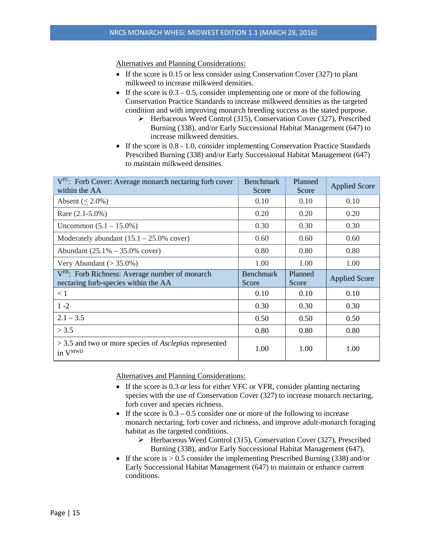Alternatives and Planning Considerations:

- If the score is 0.15 or less consider using Conservation Cover (327) to plant milkweed to increase milkweed densities.
- If the score is  $0.3 0.5$ , consider implementing one or more of the following Conservation Practice Standards to increase milkweed densities as the targeted condition and with improving monarch breeding success as the stated purpose.
	- Herbaceous Weed Control (315), Conservation Cover (327), Prescribed Burning (338), and/or Early Successional Habitat Management (647) to increase milkweed densities.
- If the score is 0.8 1.0, consider implementing Conservation Practice Standards Prescribed Burning (338) and/or Early Successional Habitat Management (647) to maintain milkweed densities.

| V <sup>FC</sup> : Forb Cover: Average monarch nectaring forb cover<br>within the AA                | <b>Benchmark</b><br>Score | Planned<br>Score | <b>Applied Score</b> |
|----------------------------------------------------------------------------------------------------|---------------------------|------------------|----------------------|
| Absent $(< 2.0\%)$                                                                                 | 0.10                      | 0.10             | 0.10                 |
| Rare $(2.1 - 5.0\%)$                                                                               | 0.20                      | 0.20             | 0.20                 |
| Uncommon $(5.1 - 15.0\%)$                                                                          | 0.30                      | 0.30             | 0.30                 |
| Moderately abundant $(15.1 - 25.0\%$ cover)                                                        | 0.60                      | 0.60             | 0.60                 |
| Abundant $(25.1\% - 35.0\%$ cover)                                                                 | 0.80                      | 0.80             | 0.80                 |
| Very Abundant $(> 35.0\%)$                                                                         | 1.00                      | 1.00             | 1.00                 |
|                                                                                                    |                           |                  |                      |
| V <sup>FR</sup> : Forb Richness: Average number of monarch<br>nectaring forb-species within the AA | <b>Benchmark</b><br>Score | Planned<br>Score | <b>Applied Score</b> |
| < 1                                                                                                | 0.10                      | 0.10             | 0.10                 |
| $1 - 2$                                                                                            | 0.30                      | 0.30             | 0.30                 |
| $2.1 - 3.5$                                                                                        | 0.50                      | 0.50             | 0.50                 |
| > 3.5                                                                                              | 0.80                      | 0.80             | 0.80                 |

Alternatives and Planning Considerations:

- If the score is 0.3 or less for either VFC or VFR, consider planting nectaring species with the use of Conservation Cover (327) to increase monarch nectaring, forb cover and species richness.
- If the score is  $0.3 0.5$  consider one or more of the following to increase monarch nectaring, forb cover and richness, and improve adult-monarch foraging habitat as the targeted conditions.
	- $\triangleright$  Herbaceous Weed Control (315), Conservation Cover (327), Prescribed Burning (338), and/or Early Successional Habitat Management (647).
- If the score is  $> 0.5$  consider the implementing Prescribed Burning (338) and/or Early Successional Habitat Management (647) to maintain or enhance current conditions.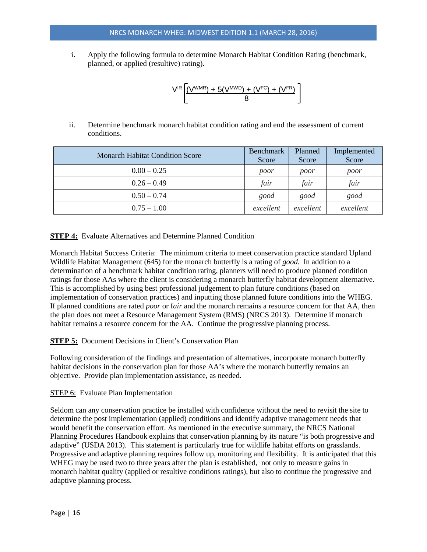i. Apply the following formula to determine Monarch Habitat Condition Rating (benchmark, planned, or applied (resultive) rating).

$$
V^{IR} \left[ \frac{(V^{WMR}) + 5(V^{MWD}) + (V^{FC}) + (V^{FR})}{8} \right]
$$

ii. Determine benchmark monarch habitat condition rating and end the assessment of current conditions.

| <b>Monarch Habitat Condition Score</b> | Benchmark<br>Score | Planned<br>Score | Implemented<br>Score |
|----------------------------------------|--------------------|------------------|----------------------|
| $0.00 - 0.25$                          | poor               | poor             | poor                 |
| $0.26 - 0.49$                          | fair               | fair             | fair                 |
| $0.50 - 0.74$                          | good               | good             | good                 |
| $0.75 - 1.00$                          | excellent          | excellent        | excellent            |

**STEP 4:** Evaluate Alternatives and Determine Planned Condition

Monarch Habitat Success Criteria: The minimum criteria to meet conservation practice standard Upland Wildlife Habitat Management (645) for the monarch butterfly is a rating of *good.* In addition to a determination of a benchmark habitat condition rating, planners will need to produce planned condition ratings for those AAs where the client is considering a monarch butterfly habitat development alternative. This is accomplished by using best professional judgement to plan future conditions (based on implementation of conservation practices) and inputting those planned future conditions into the WHEG. If planned conditions are rated *poor* or f*air* and the monarch remains a resource concern for that AA, then the plan does not meet a Resource Management System (RMS) (NRCS 2013). Determine if monarch habitat remains a resource concern for the AA. Continue the progressive planning process.

## **STEP 5:** Document Decisions in Client's Conservation Plan

Following consideration of the findings and presentation of alternatives, incorporate monarch butterfly habitat decisions in the conservation plan for those AA's where the monarch butterfly remains an objective. Provide plan implementation assistance, as needed.

## STEP 6: Evaluate Plan Implementation

Seldom can any conservation practice be installed with confidence without the need to revisit the site to determine the post implementation (applied) conditions and identify adaptive management needs that would benefit the conservation effort. As mentioned in the executive summary, the NRCS National Planning Procedures Handbook explains that conservation planning by its nature "is both progressive and adaptive" (USDA 2013). This statement is particularly true for wildlife habitat efforts on grasslands. Progressive and adaptive planning requires follow up, monitoring and flexibility. It is anticipated that this WHEG may be used two to three years after the plan is established, not only to measure gains in monarch habitat quality (applied or resultive conditions ratings), but also to continue the progressive and adaptive planning process.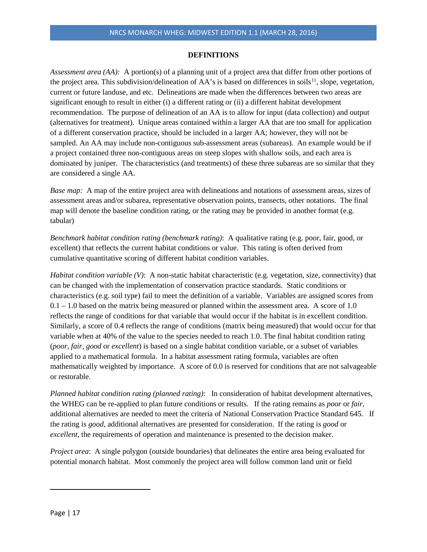#### **DEFINITIONS**

*Assessment area (AA):* A portion(s) of a planning unit of a project area that differ from other portions of the project area. This subdivision/delineation of AA's is based on differences in soils<sup>11</sup>, slope, vegetation, current or future landuse, and etc. Delineations are made when the differences between two areas are significant enough to result in either (i) a different rating or (ii) a different habitat development recommendation. The purpose of delineation of an AA is to allow for input (data collection) and output (alternatives for treatment). Unique areas contained within a larger AA that are too small for application of a different conservation practice, should be included in a larger AA; however, they will not be sampled. An AA may include non-contiguous sub-assessment areas (subareas). An example would be if a project contained three non-contiguous areas on steep slopes with shallow soils, and each area is dominated by juniper. The characteristics (and treatments) of these three subareas are so similar that they are considered a single AA.

*Base map:* A map of the entire project area with delineations and notations of assessment areas, sizes of assessment areas and/or subarea, representative observation points, transects, other notations. The final map will denote the baseline condition rating, or the rating may be provided in another format (e.g. tabular)

*Benchmark habitat condition rating (benchmark rating)*: A qualitative rating (e.g. poor, fair, good, or excellent) that reflects the current habitat conditions or value. This rating is often derived from cumulative quantitative scoring of different habitat condition variables.

*Habitat condition variable (V)*: A non-static habitat characteristic (e.g. vegetation, size, connectivity) that can be changed with the implementation of conservation practice standards. Static conditions or characteristics (e.g. soil type) fail to meet the definition of a variable. Variables are assigned scores from  $0.1 - 1.0$  based on the matrix being measured or planned within the assessment area. A score of 1.0 reflects the range of conditions for that variable that would occur if the habitat is in excellent condition. Similarly, a score of 0.4 reflects the range of conditions (matrix being measured) that would occur for that variable when at 40% of the value to the species needed to reach 1.0. The final habitat condition rating (*poor, fair, good* or *excellent*) is based on a single habitat condition variable, or a subset of variables applied to a mathematical formula. In a habitat assessment rating formula, variables are often mathematically weighted by importance. A score of 0.0 is reserved for conditions that are not salvageable or restorable.

*Planned habitat condition rating (planned rating)*: In consideration of habitat development alternatives, the WHEG can be re-applied to plan future conditions or results. If the rating remains as *poor* or *fair*, additional alternatives are needed to meet the criteria of National Conservation Practice Standard 645. If the rating is *good*, additional alternatives are presented for consideration. If the rating is *good* or *excellent*, the requirements of operation and maintenance is presented to the decision maker.

*Project area*: A single polygon (outside boundaries) that delineates the entire area being evaluated for potential monarch habitat. Most commonly the project area will follow common land unit or field

<span id="page-16-0"></span>l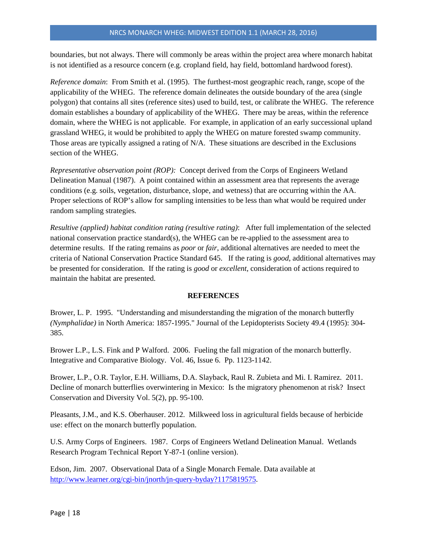boundaries, but not always. There will commonly be areas within the project area where monarch habitat is not identified as a resource concern (e.g. cropland field, hay field, bottomland hardwood forest).

*Reference domain*: From Smith et al. (1995). The furthest-most geographic reach, range, scope of the applicability of the WHEG. The reference domain delineates the outside boundary of the area (single polygon) that contains all sites (reference sites) used to build, test, or calibrate the WHEG. The reference domain establishes a boundary of applicability of the WHEG. There may be areas, within the reference domain, where the WHEG is not applicable. For example, in application of an early successional upland grassland WHEG, it would be prohibited to apply the WHEG on mature forested swamp community. Those areas are typically assigned a rating of N/A. These situations are described in the Exclusions section of the WHEG.

*Representative observation point (ROP):* Concept derived from the Corps of Engineers Wetland Delineation Manual (1987). A point contained within an assessment area that represents the average conditions (e.g. soils, vegetation, disturbance, slope, and wetness) that are occurring within the AA. Proper selections of ROP's allow for sampling intensities to be less than what would be required under random sampling strategies.

*Resultive (applied) habitat condition rating (resultive rating)*: After full implementation of the selected national conservation practice standard(s), the WHEG can be re-applied to the assessment area to determine results. If the rating remains as *poor* or *fair*, additional alternatives are needed to meet the criteria of National Conservation Practice Standard 645. If the rating is *good*, additional alternatives may be presented for consideration. If the rating is *good* or *excellent*, consideration of actions required to maintain the habitat are presented.

#### **REFERENCES**

Brower, L. P. 1995. "Understanding and misunderstanding the migration of the monarch butterfly *(Nymphalidae)* in North America: 1857-1995." Journal of the Lepidopterists Society 49.4 (1995): 304- 385.

Brower L.P., L.S. Fink and P Walford. 2006. Fueling the fall migration of the monarch butterfly. Integrative and Comparative Biology. Vol. 46, Issue 6. Pp. 1123-1142.

Brower, L.P., O.R. Taylor, E.H. Williams, D.A. Slayback, Raul R. Zubieta and Mi. I. Ramirez. 2011. Decline of monarch butterflies overwintering in Mexico: Is the migratory phenomenon at risk? Insect Conservation and Diversity Vol. 5(2), pp. 95-100.

Pleasants, J.M., and K.S. Oberhauser. 2012. Milkweed loss in agricultural fields because of herbicide use: effect on the monarch butterfly population.

U.S. Army Corps of Engineers. 1987. Corps of Engineers Wetland Delineation Manual. Wetlands Research Program Technical Report Y-87-1 (online version).

Edson, Jim. 2007. Observational Data of a Single Monarch Female. Data available at [http://www.learner.org/cgi-bin/jnorth/jn-query-byday?1175819575.](http://www.learner.org/cgi-bin/jnorth/jn-query-byday?1175819575)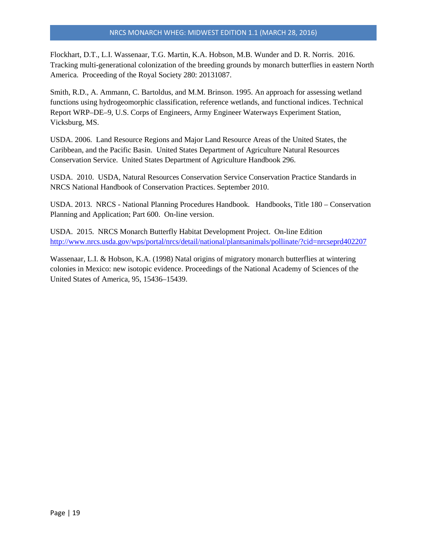Flockhart, D.T., L.I. Wassenaar, T.G. Martin, K.A. Hobson, M.B. Wunder and D. R. Norris. 2016. Tracking multi-generational colonization of the breeding grounds by monarch butterflies in eastern North America. Proceeding of the Royal Society 280: 20131087.

Smith, R.D., A. Ammann, C. Bartoldus, and M.M. Brinson. 1995. An approach for assessing wetland functions using hydrogeomorphic classification, reference wetlands, and functional indices. Technical Report WRP–DE–9, U.S. Corps of Engineers, Army Engineer Waterways Experiment Station, Vicksburg, MS.

USDA. 2006. Land Resource Regions and Major Land Resource Areas of the United States, the Caribbean, and the Pacific Basin. United States Department of Agriculture Natural Resources Conservation Service. United States Department of Agriculture Handbook 296.

USDA. 2010. USDA, Natural Resources Conservation Service Conservation Practice Standards in NRCS National Handbook of Conservation Practices. September 2010.

USDA. 2013. NRCS - National Planning Procedures Handbook. Handbooks, Title 180 – Conservation Planning and Application; Part 600. On-line version.

USDA. 2015. NRCS Monarch Butterfly Habitat Development Project. On-line Edition <http://www.nrcs.usda.gov/wps/portal/nrcs/detail/national/plantsanimals/pollinate/?cid=nrcseprd402207>

Wassenaar, L.I. & Hobson, K.A. (1998) Natal origins of migratory monarch butterflies at wintering colonies in Mexico: new isotopic evidence. Proceedings of the National Academy of Sciences of the United States of America, 95, 15436–15439.